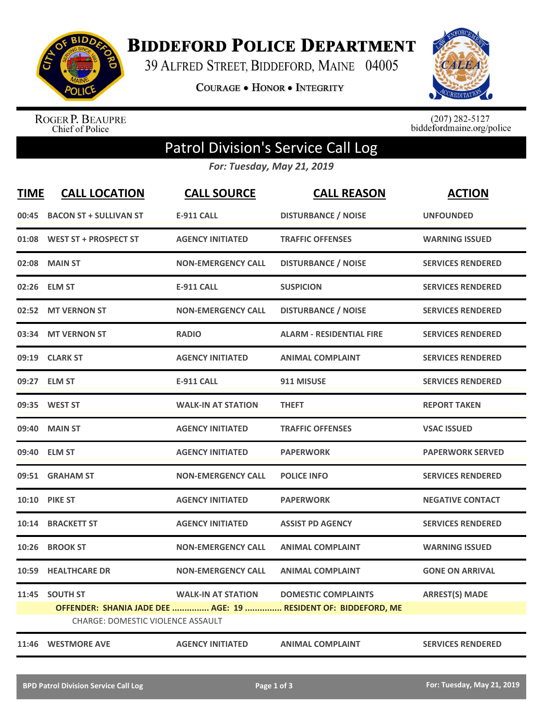

**BIDDEFORD POLICE DEPARTMENT** 

39 ALFRED STREET, BIDDEFORD, MAINE 04005

**COURAGE . HONOR . INTEGRITY** 



ROGER P. BEAUPRE<br>Chief of Police

 $(207)$  282-5127<br>biddefordmaine.org/police

## Patrol Division's Service Call Log

*For: Tuesday, May 21, 2019*

| <b>TIME</b> | <b>CALL LOCATION</b>                                       | <b>CALL SOURCE</b>        | <b>CALL REASON</b>                                                                           | <b>ACTION</b>            |
|-------------|------------------------------------------------------------|---------------------------|----------------------------------------------------------------------------------------------|--------------------------|
| 00:45       | <b>BACON ST + SULLIVAN ST</b>                              | <b>E-911 CALL</b>         | <b>DISTURBANCE / NOISE</b>                                                                   | <b>UNFOUNDED</b>         |
|             | 01:08 WEST ST + PROSPECT ST                                | <b>AGENCY INITIATED</b>   | <b>TRAFFIC OFFENSES</b>                                                                      | <b>WARNING ISSUED</b>    |
|             | 02:08 MAIN ST                                              | <b>NON-EMERGENCY CALL</b> | <b>DISTURBANCE / NOISE</b>                                                                   | <b>SERVICES RENDERED</b> |
| 02:26       | <b>ELM ST</b>                                              | <b>E-911 CALL</b>         | <b>SUSPICION</b>                                                                             | <b>SERVICES RENDERED</b> |
| 02:52       | <b>MT VERNON ST</b>                                        | <b>NON-EMERGENCY CALL</b> | <b>DISTURBANCE / NOISE</b>                                                                   | <b>SERVICES RENDERED</b> |
| 03:34       | <b>MT VERNON ST</b>                                        | <b>RADIO</b>              | <b>ALARM - RESIDENTIAL FIRE</b>                                                              | <b>SERVICES RENDERED</b> |
|             | 09:19 CLARK ST                                             | <b>AGENCY INITIATED</b>   | <b>ANIMAL COMPLAINT</b>                                                                      | <b>SERVICES RENDERED</b> |
|             | 09:27 ELM ST                                               | <b>E-911 CALL</b>         | 911 MISUSE                                                                                   | <b>SERVICES RENDERED</b> |
|             | 09:35 WEST ST                                              | <b>WALK-IN AT STATION</b> | <b>THEFT</b>                                                                                 | <b>REPORT TAKEN</b>      |
| 09:40       | <b>MAIN ST</b>                                             | <b>AGENCY INITIATED</b>   | <b>TRAFFIC OFFENSES</b>                                                                      | <b>VSAC ISSUED</b>       |
| 09:40       | <b>ELM ST</b>                                              | <b>AGENCY INITIATED</b>   | <b>PAPERWORK</b>                                                                             | <b>PAPERWORK SERVED</b>  |
|             | 09:51 GRAHAM ST                                            | <b>NON-EMERGENCY CALL</b> | <b>POLICE INFO</b>                                                                           | <b>SERVICES RENDERED</b> |
|             | 10:10 PIKE ST                                              | <b>AGENCY INITIATED</b>   | <b>PAPERWORK</b>                                                                             | <b>NEGATIVE CONTACT</b>  |
| 10:14       | <b>BRACKETT ST</b>                                         | <b>AGENCY INITIATED</b>   | <b>ASSIST PD AGENCY</b>                                                                      | <b>SERVICES RENDERED</b> |
| 10:26       | <b>BROOK ST</b>                                            | <b>NON-EMERGENCY CALL</b> | <b>ANIMAL COMPLAINT</b>                                                                      | <b>WARNING ISSUED</b>    |
| 10:59       | <b>HEALTHCARE DR</b>                                       | <b>NON-EMERGENCY CALL</b> | <b>ANIMAL COMPLAINT</b>                                                                      | <b>GONE ON ARRIVAL</b>   |
|             | 11:45 SOUTH ST<br><b>CHARGE: DOMESTIC VIOLENCE ASSAULT</b> | <b>WALK-IN AT STATION</b> | <b>DOMESTIC COMPLAINTS</b><br>OFFENDER: SHANIA JADE DEE  AGE: 19  RESIDENT OF: BIDDEFORD, ME | <b>ARREST(S) MADE</b>    |
|             | 11:46 WESTMORE AVE                                         | <b>AGENCY INITIATED</b>   | <b>ANIMAL COMPLAINT</b>                                                                      | <b>SERVICES RENDERED</b> |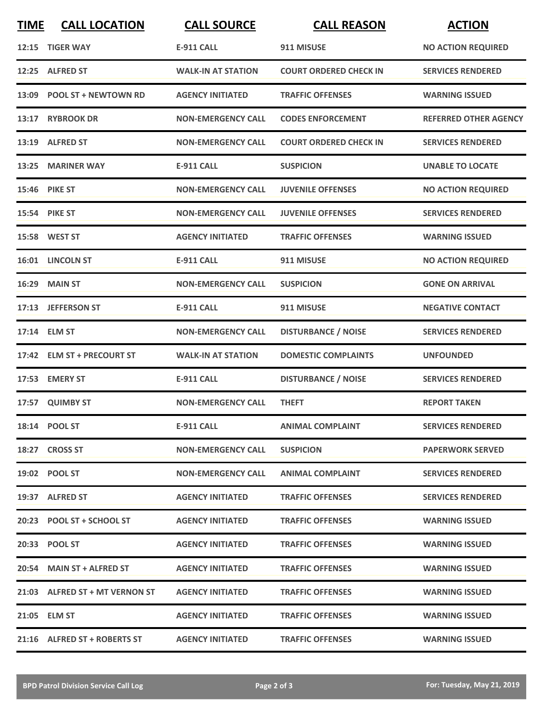| <b>TIME</b> | <b>CALL LOCATION</b>           | <b>CALL SOURCE</b>        | <b>CALL REASON</b>            | <b>ACTION</b>                |
|-------------|--------------------------------|---------------------------|-------------------------------|------------------------------|
| 12:15       | <b>TIGER WAY</b>               | <b>E-911 CALL</b>         | 911 MISUSE                    | <b>NO ACTION REQUIRED</b>    |
|             | 12:25 ALFRED ST                | <b>WALK-IN AT STATION</b> | <b>COURT ORDERED CHECK IN</b> | <b>SERVICES RENDERED</b>     |
| 13:09       | <b>POOL ST + NEWTOWN RD</b>    | <b>AGENCY INITIATED</b>   | <b>TRAFFIC OFFENSES</b>       | <b>WARNING ISSUED</b>        |
|             | 13:17 RYBROOK DR               | <b>NON-EMERGENCY CALL</b> | <b>CODES ENFORCEMENT</b>      | <b>REFERRED OTHER AGENCY</b> |
|             | 13:19 ALFRED ST                | <b>NON-EMERGENCY CALL</b> | <b>COURT ORDERED CHECK IN</b> | <b>SERVICES RENDERED</b>     |
|             | 13:25 MARINER WAY              | <b>E-911 CALL</b>         | <b>SUSPICION</b>              | <b>UNABLE TO LOCATE</b>      |
|             | 15:46 PIKE ST                  | <b>NON-EMERGENCY CALL</b> | <b>JUVENILE OFFENSES</b>      | <b>NO ACTION REQUIRED</b>    |
|             | 15:54 PIKE ST                  | <b>NON-EMERGENCY CALL</b> | <b>JUVENILE OFFENSES</b>      | <b>SERVICES RENDERED</b>     |
|             | 15:58 WEST ST                  | <b>AGENCY INITIATED</b>   | <b>TRAFFIC OFFENSES</b>       | <b>WARNING ISSUED</b>        |
|             | 16:01 LINCOLN ST               | <b>E-911 CALL</b>         | 911 MISUSE                    | <b>NO ACTION REQUIRED</b>    |
|             | <b>16:29 MAIN ST</b>           | <b>NON-EMERGENCY CALL</b> | <b>SUSPICION</b>              | <b>GONE ON ARRIVAL</b>       |
|             | 17:13 JEFFERSON ST             | <b>E-911 CALL</b>         | 911 MISUSE                    | <b>NEGATIVE CONTACT</b>      |
|             | 17:14 ELM ST                   | <b>NON-EMERGENCY CALL</b> | <b>DISTURBANCE / NOISE</b>    | <b>SERVICES RENDERED</b>     |
|             | 17:42 ELM ST + PRECOURT ST     | <b>WALK-IN AT STATION</b> | <b>DOMESTIC COMPLAINTS</b>    | <b>UNFOUNDED</b>             |
|             | 17:53 EMERY ST                 | <b>E-911 CALL</b>         | <b>DISTURBANCE / NOISE</b>    | <b>SERVICES RENDERED</b>     |
|             | 17:57 QUIMBY ST                | <b>NON-EMERGENCY CALL</b> | <b>THEFT</b>                  | <b>REPORT TAKEN</b>          |
|             | 18:14 POOL ST                  | <b>E-911 CALL</b>         | <b>ANIMAL COMPLAINT</b>       | <b>SERVICES RENDERED</b>     |
|             | 18:27 CROSS ST                 | <b>NON-EMERGENCY CALL</b> | <b>SUSPICION</b>              | <b>PAPERWORK SERVED</b>      |
|             | 19:02 POOL ST                  | <b>NON-EMERGENCY CALL</b> | <b>ANIMAL COMPLAINT</b>       | <b>SERVICES RENDERED</b>     |
|             | 19:37 ALFRED ST                | <b>AGENCY INITIATED</b>   | <b>TRAFFIC OFFENSES</b>       | <b>SERVICES RENDERED</b>     |
|             | 20:23 POOL ST + SCHOOL ST      | <b>AGENCY INITIATED</b>   | <b>TRAFFIC OFFENSES</b>       | <b>WARNING ISSUED</b>        |
|             | 20:33 POOL ST                  | <b>AGENCY INITIATED</b>   | <b>TRAFFIC OFFENSES</b>       | <b>WARNING ISSUED</b>        |
|             | 20:54 MAIN ST + ALFRED ST      | <b>AGENCY INITIATED</b>   | <b>TRAFFIC OFFENSES</b>       | <b>WARNING ISSUED</b>        |
|             | 21:03 ALFRED ST + MT VERNON ST | <b>AGENCY INITIATED</b>   | <b>TRAFFIC OFFENSES</b>       | <b>WARNING ISSUED</b>        |
|             | 21:05 ELM ST                   | <b>AGENCY INITIATED</b>   | <b>TRAFFIC OFFENSES</b>       | <b>WARNING ISSUED</b>        |
|             | 21:16 ALFRED ST + ROBERTS ST   | <b>AGENCY INITIATED</b>   | <b>TRAFFIC OFFENSES</b>       | <b>WARNING ISSUED</b>        |